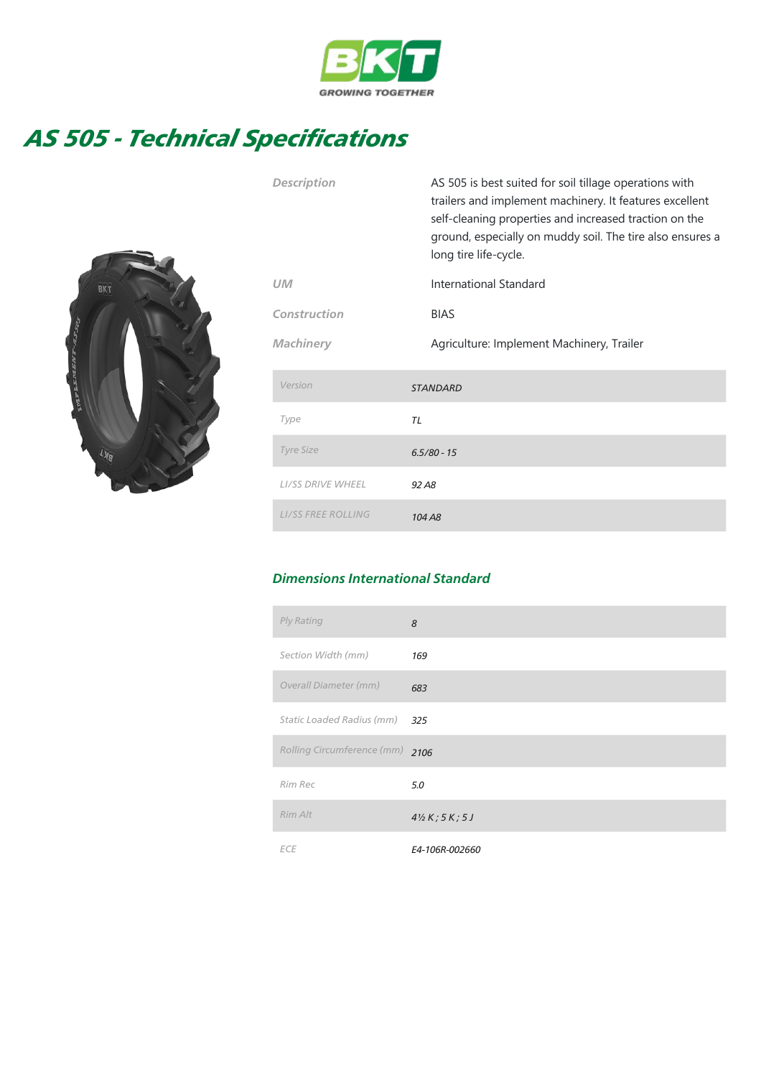

## AS 505 - Technical Specifications



| <b>Description</b>        | AS 505 is best suited for soil tillage operations with<br>trailers and implement machinery. It features excellent<br>self-cleaning properties and increased traction on the<br>ground, especially on muddy soil. The tire also ensures a<br>long tire life-cycle. |
|---------------------------|-------------------------------------------------------------------------------------------------------------------------------------------------------------------------------------------------------------------------------------------------------------------|
| UМ                        | International Standard                                                                                                                                                                                                                                            |
| Construction              | <b>BIAS</b>                                                                                                                                                                                                                                                       |
| <b>Machinery</b>          | Agriculture: Implement Machinery, Trailer                                                                                                                                                                                                                         |
| Version                   | <b>STANDARD</b>                                                                                                                                                                                                                                                   |
| Type                      | TL                                                                                                                                                                                                                                                                |
| <b>Tyre Size</b>          | $6.5/80 - 15$                                                                                                                                                                                                                                                     |
| <b>LI/SS DRIVE WHEEL</b>  | 92 A <sub>8</sub>                                                                                                                                                                                                                                                 |
| <b>LI/SS FREE ROLLING</b> | 104 A <sub>8</sub>                                                                                                                                                                                                                                                |

## Dimensions International Standard

| Ply Rating                 | 8                            |
|----------------------------|------------------------------|
| Section Width (mm)         | 169                          |
| Overall Diameter (mm)      | 683                          |
| Static Loaded Radius (mm)  | 325                          |
| Rolling Circumference (mm) | 2106                         |
| Rim Rec                    | 5.0                          |
| Rim Alt                    | $4\frac{1}{2}K$ ; 5 $K$ ; 5J |
| <b>ECE</b>                 | E4-106R-002660               |